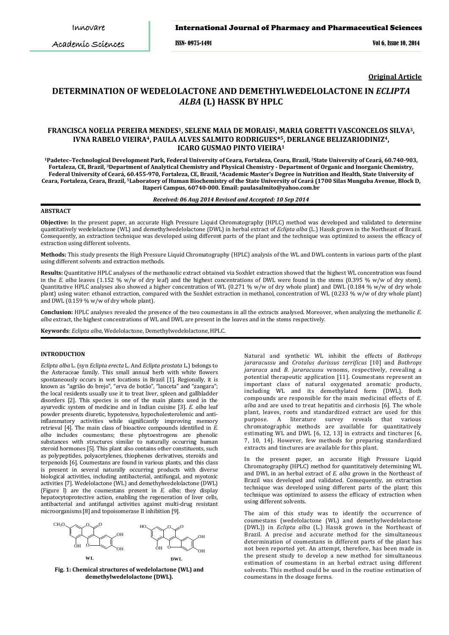Academic Sciences

## International Journal of Pharmacy and Pharmaceutical Sciences

ISSN- 0975-1491 Vol 6, Issue 10, 2014

# **Original Article**

# **DETERMINATION OF WEDELOLACTONE AND DEMETHYLWEDELOLACTONE IN** *ECLIPTA ALBA* **(L) HASSK BY HPLC**

# **FRANCISCA NOELIA PEREIRA MENDES1, SELENE MAIA DE MORAIS2, MARIA GORETTI VASCONCELOS SILVA3, IVNA RABELO VIEIRA4, PAULA ALVES SALMITO RODRIGUES\*5, DERLANGE BELIZARIODINIZ4, ICARO GUSMAO PINTO VIEIRA<sup>1</sup>**

**<sup>1</sup>Padetec–Technological Development Park, Federal University of Ceara, Fortaleza, Ceara, Brazil, <sup>2</sup>State University of Ceará, 60.740-903, Fortaleza, CE, Brazil, <sup>3</sup>Department of Analytical Chemistry and Physical Chemistry - Department of Organic and Inorganic Chemistry, Federal University of Ceará, 60.455-970, Fortaleza, CE, Brazil, <sup>4</sup>Academic Master's Degree in Nutrition and Health, State University of Ceara, Fortaleza, Ceara, Brazil, <sup>5</sup>Laboratory of Human Biochemistry of the State University of Ceará (1700 Silas Munguba Avenue, Block D, Itaperi Campus, 60740-000. Email: paulasalmito@yahoo.com.br**

#### *Received: 06 Aug 2014 Revised and Accepted: 10 Sep 2014*

## **ABSTRACT**

**Objective:** In the present paper, an accurate High Pressure Liquid Chromatography (HPLC) method was developed and validated to determine quantitatively wedelolactone (WL) and demethylwedelolactone (DWL) in herbal extract of *Eclipta alba* (L.) Hassk grown in the Northeast of Brazil. Consequently, an extraction technique was developed using different parts of the plant and the technique was optimized to assess the efficacy of extraction using different solvents.

**Methods:** This study presents the High Pressure Liquid Chromatography (HPLC) analysis of the WL and DWL contents in various parts of the plant using different solvents and extraction methods.

**Results:** Quantitative HPLC analyses of the methanolic extract obtained via Soxhlet extraction showed that the highest WL concentration was found in the *E. alba* leaves (1.152 % w/w of dry leaf) and the highest concentrations of DWL were found in the stems (0.395 % w/w of dry stem). Quantitative HPLC analyses also showed a higher concentration of WL (0.271 % w/w of dry whole plant) and DWL (0.184 % w/w of dry whole plant) using water: ethanol extraction, compared with the Soxhlet extraction in methanol, concentration of WL (0.233 % w/w of dry whole plant) and DWL (0.159 % w/w of dry whole plant).

**Conclusion:** HPLC analyses revealed the presence of the two coumestans in all the extracts analysed. Moreover, when analyzing the methanolic *E. alba* extract, the highest concentrations of WL and DWL are present in the leaves and in the stems respectively.

**Keywords**: *Eclipta alba*, Wedelolactone, Demethylwedelolactone, HPLC.

## **INTRODUCTION**

*Eclipta alba* L. (syn *Eclipta erecta* L. And *Eclipta prostata* L.) belongs to the Asteraceae family. This small annual herb with white flowers spontaneously occurs in wet locations in Brazil [1]. Regionally, it is known as "agrião do brejo", "erva de botão", "lanceta" and "zangara"; the local residents usually use it to treat liver, spleen and gallbladder disorders [2]. This species is one of the main plants used in the ayurvedic system of medicine and in Indian cuisine [3]. *E. alba* leaf powder presents diuretic, hypotensive, hypocholesterolemic and antiinflammatory activities while significantly improving memory retrieval [4]. The main class of bioactive compounds identified in *E. alba* includes coumestans; these phytoestrogens are phenolic substances with structures similar to naturally occurring human steroid hormones [5]. This plant also contains other constituents, such as polypeptides, polyacetylenes, thiophenes derivatives, steroids and terpenoids [6]. Coumestans are found in various plants, and this class is present in several naturally occurring products with diverse biological activities, including antibacterial, antifungal, and myotoxic activities [7]. Wedelolactone (WL) and demethylwedelolactone (DWL) (Figure l) are the coumestans present in *E. alba*; they display hepatocytoprotective action, enabling the regeneration of liver cells, antibacterial and antifungal activities against multi-drug resistant microorganisms [8] and topoisomerase II inhibition [9].



**Fig. 1: Chemical structures of wedelolactone (WL) and demethylwedelolactone (DWL).**

Natural and synthetic WL inhibit the effects of *Bothrops jararacussu* and *Crotalus durissus terrificus* [10] and *Bothrops jararaca* and *B. jararacussu* venoms, respectively, revealing a potential therapeutic application [11]. Coumestans represent an important class of natural oxygenated aromatic products, including WL and its demethylated form (DWL). Both compounds are responsible for the main medicinal effects of *E. alba* and are used to treat hepatitis and cirrhosis [6]. The whole plant, leaves, roots and standardized extract are used for this reveals that various chromatographic methods are available for quantitatively estimating WL and DWL [6, 12, 13] in extracts and tinctures [6, 7, 10, 14]. However, few methods for preparing standardized extracts and tinctures are available for this plant.

In the present paper, an accurate High Pressure Liquid Chromatography (HPLC) method for quantitatively determining WL and DWL in an herbal extract of *E. alba* grown in the Northeast of Brazil was developed and validated. Consequently, an extraction technique was developed using different parts of the plant; this technique was optimized to assess the efficacy of extraction when using different solvents.

The aim of this study was to identify the occurrence of coumestans (wedelolactone (WL) and demethylwedelolactone (DWL)) in *Eclipta alba* (L.) Hassk grown in the Northeast of Brazil. A precise and accurate method for the simultaneous determination of coumestans in different parts of the plant has not been reported yet. An attempt, therefore, has been made in the present study to develop a new method for simultaneous estimation of coumestans in an herbal extract using different solvents. This method could be used in the routine estimation of coumestans in the dosage forms.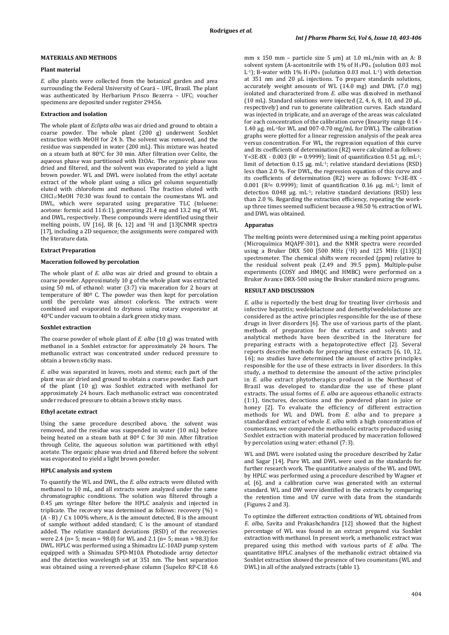# **MATERIALS AND METHODS**

## **Plant material**

*E. alba* plants were collected from the botanical garden and area surrounding the Federal University of Ceará – UFC, Brazil. The plant was authenticated by Herbarium Prisco Bezerra – UFC; voucher specimens are deposited under register 29456.

#### **Extraction and isolation**

The whole plant of *Eclipta alba* was air dried and ground to obtain a coarse powder. The whole plant (200 g) underwent Soxhlet extraction with MeOH for 24 h. The solvent was removed, and the residue was suspended in water (200 mL). This mixture was heated on a steam bath at 80°C for 30 min. After filtration over Celite, the aqueous phase was partitioned with EtOAc. The organic phase was dried and filtered, and the solvent was evaporated to yield a light brown powder. WL and DWL were isolated from the ethyl acetate extract of the whole plant using a silica gel column sequentially eluted with chloroform and methanol. The fraction eluted with CHCl3:MeOH 70:30 was found to contain the coumestans WL and DWL, which were separated using preparative TLC (toluene: acetone: formic acid 11:6:1), generating 21.4 mg and 13.2 mg of WL and DWL, respectively. These compounds were identified using their melting points, UV [16], IR [6, 12] and 1 H and [13]CNMR spectra [17], including a 2D sequence; the assignments were compared with the literature data.

#### **Extract Preparation**

#### **Maceration followed by percolation**

The whole plant of *E. alba* was air dried and ground to obtain a coarse powder. Approximately 10 g of the whole plant was extracted using 50 mL of ethanol: water (3:7) via maceration for 2 hours at temperature of 80º C. The powder was then kept for percolation until the percolate was almost colorless. The extracts were combined and evaporated to dryness using rotary evaporator at 40°C under vacuum to obtain a dark green sticky mass.

## **Soxhlet extraction**

The coarse powder of whole plant of *E. alba* (10 g) was treated with methanol in a Soxhlet extractor for approximately 24 hours. The methanolic extract was concentrated under reduced pressure to obtain a brown sticky mass.

*E. alba* was separated in leaves, roots and stems; each part of the plant was air dried and ground to obtain a coarse powder. Each part of the plant (10 g) was Soxhlet extracted with methanol for approximately 24 hours. Each methanolic extract was concentrated under reduced pressure to obtain a brown sticky mass.

#### **Ethyl acetate extract**

Using the same procedure described above, the solvent was removed, and the residue was suspended in water (10 mL) before being heated on a steam bath at 80º C for 30 min. After filtration through Celite, the aqueous solution was partitioned with ethyl acetate. The organic phase was dried and filtered before the solvent was evaporated to yield a light brown powder.

#### **HPLC analysis and system**

To quantify the WL and DWL, the *E. alba* extracts were diluted with methanol to 10 mL, and all extracts were analyzed under the same chromatographic conditions. The solution was filtered through a 0.45 μm syringe filter before the HPLC analysis and injected in triplicate. The recovery was determined as follows: recovery  $(\%)$  =  $(A - B) / C x 100\%$  where, A is the amount detected, B is the amount of sample without added standard; C is the amount of standard added. The relative standard deviations (RSD) of the recoveries were 2.4 (n= 5; mean = 98.0) for WL and 2.1 (n= 5; mean = 98.3) for DWL. HPLC was performed using a Shimadzu LC-10AD pump system equipped with a Shimadzu SPD-M10A Photodiode array detector and the detection wavelength set at 351 nm. The best separation was obtained using a reversed-phase column (Supelco RP-C18 4.6

mm x 150 mm – particle size 5 μm) at 1.0 mL/min with an A: B solvent system (A-acetonitrile with 1% of H 3P04 (solution 0.03 mol. L<sup>-1</sup>); B-water with 1% H<sub>3</sub>P0<sub>4</sub> (solution 0.03 mol. L<sup>-1</sup>) with detection at 351 nm and 20 μL injections. To prepare standards solutions, accurately weight amounts of WL (14.0 mg) and DWL (7.0 mg) isolated and characterized from *E. alba* was dissolved in methanol (10 mL). Standard solutions were injected (2, 4, 6, 8, 10, and 20  $\mu$ L, respectively) and run to generate calibration curves. Each standard was injected in triplicate, and an average of the areas was calculated for each concentration of the calibration curve (linearity range 0.14 - 1.40 μg. mL-1for WL and 007-0.70 mg/mL for DWL). The calibration graphs were plotted for a linear regression analysis of the peak area versus concentration. For WL, the regression equation of this curve and its coefficients of determination (R2) were calculated as follows: Y=3E-8X - 0.003 ( $R^2$  = 0.9999); limit of quantification 0.51 μg. mL<sup>-1</sup>; limit of detection 0.15 μg. mL-1; relative standard deviations (RSD) less than 2.0 %. For DWL, the regression equation of this curve and its coefficients of determination (R2) were as follows: Y=3E-8X - 0.001 ( $R^2$ = 0.9999); limit of quantification 0.16 μg. mL<sup>-1</sup>; limit of detection 0.048 μg. mL-1; relative standard deviations (RSD) less than 2.0 %. Regarding the extraction efficiency, repeating the workup three times seemed sufficient because a 98.50 % extraction of WL and DWL was obtained.

#### **Apparatus**

The melting points were determined using a melting point apparatus (Microquímica MQAPF-301), and the NMR spectra were recorded using a Bruker DRX 500 [500 MHz (1 H) and 125 MHz ([13]C)] spectrometer. The chemical shifts were recorded (ppm) relative to the residual solvent peak (2.49 and 39.5 ppm). Multiple-pulse experiments (COSY and HMQC and HMBC) were performed on a Bruker Avance DRX-500 using the Bruker standard micro programs.

#### **RESULT AND DISCUSSION**

*E. alba* is reportedly the best drug for treating liver cirrhosis and infective hepatitis; wedelolactone and demethylwedelolactone are considered as the active principles responsible for the use of these drugs in liver disorders [6]. The use of various parts of the plant, methods of preparation for the extracts and solvents and analytical methods have been described in the literature for preparing extracts with a hepatoprotective effect [2]. Several reports describe methods for preparing these extracts [6, 10, 12, 16]; no studies have determined the amount of active principles responsible for the use of these extracts in liver disorders. In this study, a method to determine the amount of the active principles in *E. alba* extract phytotherapics produced in the Northeast of Brazil was developed to standardize the use of these plant extracts. The usual forms of *E. alba* are aqueous ethanolic extracts (1:1), tinctures, decoctions and the powdered plant in juice or honey [2]. To evaluate the efficiency of different extraction methods for WL and DWL from *E. alba* and to prepare a standardized extract of whole *E. alba* with a high concentration of coumestans, we compared the methanolic extracts produced using Soxhlet extraction with material produced by maceration followed by percolation using water: ethanol (7:3).

WL and DWL were isolated using the procedure described by Zafar and Sagar [14]. Pure WL and DWL were used as the standards for further research work. The quantitative analysis of the WL and DWL by HPLC was performed using a procedure described by Wagner *et al,* [6], and a calibration curve was generated with an external standard. WL and DW were identified in the extracts by comparing the retention time and UV curve with data from the standards (Figures 2 and 3).

To optimize the different extraction conditions of WL obtained from *E. alba,* Savita and Prakashchandra [12] showed that the highest percentage of WL was found in an extract prepared via Soxhlet extraction with methanol. In present work, a methanolic extract was prepared using this method with various parts of *E alba*. The quantitative HPLC analyses of the methanolic extract obtained via Soxhlet extraction showed the presence of two coumestans (WL and DWL) in all of the analyzed extracts (table 1).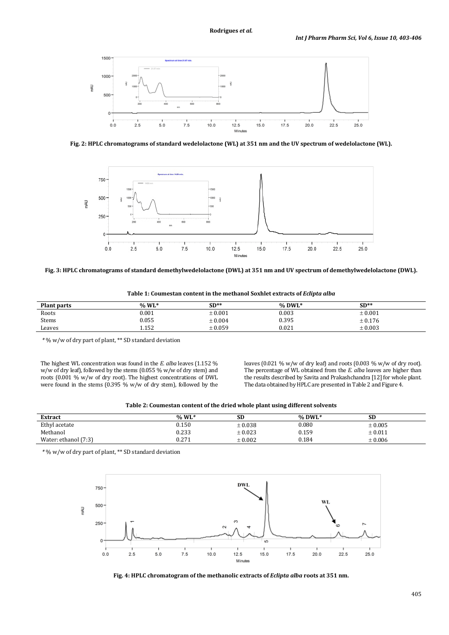

**Fig. 2: HPLC chromatograms of standard wedelolactone (WL) at 351 nm and the UV spectrum of wedelolactone (WL).**



**Fig. 3: HPLC chromatograms of standard demethylwedelolactone (DWL) at 351 nm and UV spectrum of demethylwedelolactone (DWL).**

| <b>Plant parts</b> | $%$ WL*       | $SD**$      | $%$ DWL* | $SD**$  |  |
|--------------------|---------------|-------------|----------|---------|--|
| Roots              | 0.001         | $\pm 0.001$ | 0.003    | ± 0.001 |  |
| Stems              | 0.055         | $\pm 0.004$ | 0.395    | ± 0.176 |  |
| Leaves             | 1152<br>1.104 | ± 0.059     | 0.021    | ± 0.003 |  |

**Table 1: Coumestan content in the methanol Soxhlet extracts of** *Eclipta alba*

*\** % w/w of dry part of plant, \*\* SD standard deviation

The highest WL concentration was found in the *E. alba* leaves (1.152 % w/w of dry leaf), followed by the stems (0.055 % w/w of dry stem) and roots (0.001 % w/w of dry root). The highest concentrations of DWL were found in the stems (0.395 % w/w of dry stem), followed by the leaves (0.021 % w/w of dry leaf) and roots (0.003 % w/w of dry root). The percentage of WL obtained from the *E. alba* leaves are higher than the results described by Savita and Prakashchandra [12] for whole plant. The data obtained by HPLC are presented in Table 2 and Figure 4.

| Table 2: Coumestan content of the dried whole plant using different solvents |  |
|------------------------------------------------------------------------------|--|
|------------------------------------------------------------------------------|--|

| <b>Extract</b>       | $%$ WL* | <b>SD</b>   | $%$ DWL* | SD          |
|----------------------|---------|-------------|----------|-------------|
| Ethyl acetate        | 0.150   | $\pm 0.038$ | 0.080    | $\pm 0.005$ |
| Methanol             | 0.233   | $\pm 0.023$ | 0.159    | ± 0.011     |
| Water: ethanol (7:3) | 0.271   | $\pm 0.002$ | 0.184    | ± 0.006     |

*\** % w/w of dry part of plant, \*\* SD standard deviation